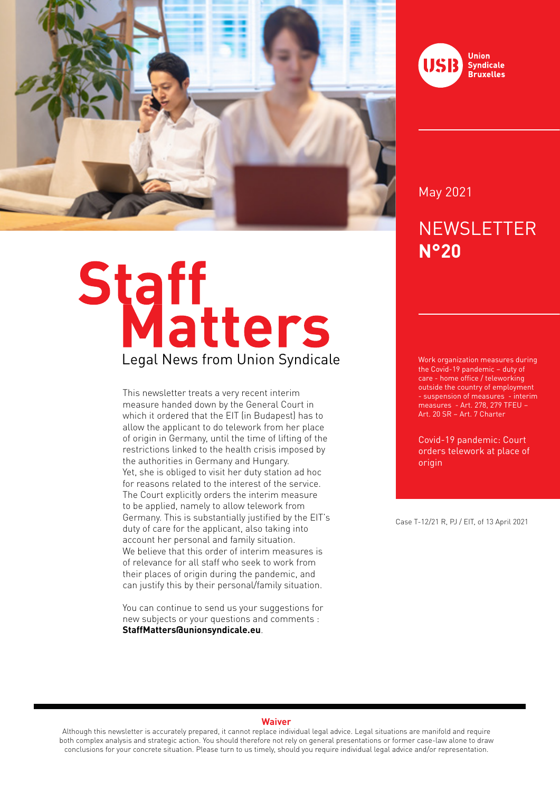

# Staff<br>Legal News from Union Syndicale

This newsletter treats a very recent interim measure handed down by the General Court in which it ordered that the EIT (in Budapest) has to allow the applicant to do telework from her place of origin in Germany, until the time of lifting of the restrictions linked to the health crisis imposed by the authorities in Germany and Hungary. Yet, she is obliged to visit her duty station ad hoc for reasons related to the interest of the service. The Court explicitly orders the interim measure to be applied, namely to allow telework from Germany. This is substantially justified by the EIT's duty of care for the applicant, also taking into account her personal and family situation. We believe that this order of interim measures is of relevance for all staff who seek to work from their places of origin during the pandemic, and can justify this by their personal/family situation.

You can continue to send us your suggestions for new subjects or your questions and comments : **StaffMatters@unionsyndicale.eu**.



May 2021

# **NEWSLETTER N°20**

Work organization measures during the Covid-19 pandemic – duty of care - home office / teleworking outside the country of employment - suspension of measures - interim measures - Art. 278, 279 TFEU – Art. 20 SR – Art. 7 Charter

Covid-19 pandemic: Court orders telework at place of origin

Case T-12/21 R, PJ / EIT, of 13 April 2021

### **Waiver**

Although this newsletter is accurately prepared, it cannot replace individual legal advice. Legal situations are manifold and require both complex analysis and strategic action. You should therefore not rely on general presentations or former case-law alone to draw conclusions for your concrete situation. Please turn to us timely, should you require individual legal advice and/or representation.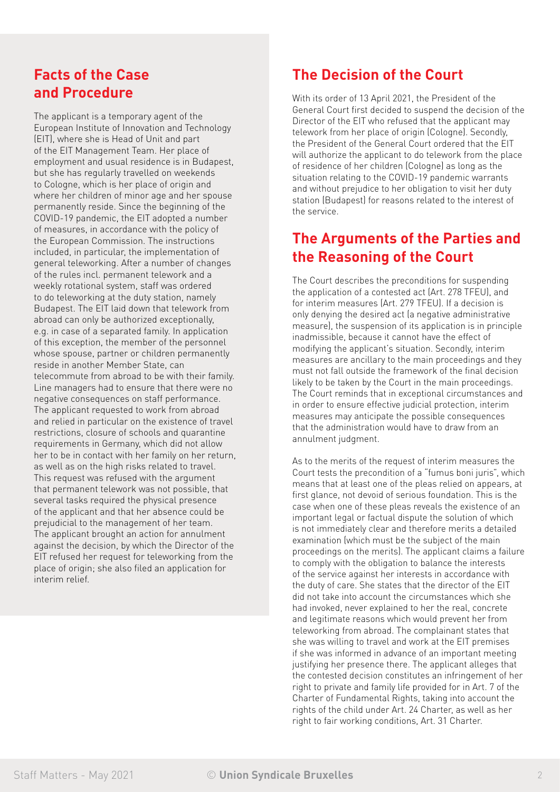### **Facts of the Case and Procedure**

The applicant is a temporary agent of the European Institute of Innovation and Technology (EIT), where she is Head of Unit and part of the EIT Management Team. Her place of employment and usual residence is in Budapest, but she has regularly travelled on weekends to Cologne, which is her place of origin and where her children of minor age and her spouse permanently reside. Since the beginning of the COVID-19 pandemic, the EIT adopted a number of measures, in accordance with the policy of the European Commission. The instructions included, in particular, the implementation of general teleworking. After a number of changes of the rules incl. permanent telework and a weekly rotational system, staff was ordered to do teleworking at the duty station, namely Budapest. The EIT laid down that telework from abroad can only be authorized exceptionally, e.g. in case of a separated family. In application of this exception, the member of the personnel whose spouse, partner or children permanently reside in another Member State, can telecommute from abroad to be with their family. Line managers had to ensure that there were no negative consequences on staff performance. The applicant requested to work from abroad and relied in particular on the existence of travel restrictions, closure of schools and quarantine requirements in Germany, which did not allow her to be in contact with her family on her return, as well as on the high risks related to travel. This request was refused with the argument that permanent telework was not possible, that several tasks required the physical presence of the applicant and that her absence could be prejudicial to the management of her team. The applicant brought an action for annulment against the decision, by which the Director of the EIT refused her request for teleworking from the place of origin; she also filed an application for interim relief.

## **The Decision of the Court**

With its order of 13 April 2021, the President of the General Court first decided to suspend the decision of the Director of the EIT who refused that the applicant may telework from her place of origin (Cologne). Secondly, the President of the General Court ordered that the EIT will authorize the applicant to do telework from the place of residence of her children (Cologne) as long as the situation relating to the COVID-19 pandemic warrants and without prejudice to her obligation to visit her duty station (Budapest) for reasons related to the interest of the service.

### **The Arguments of the Parties and the Reasoning of the Court**

The Court describes the preconditions for suspending the application of a contested act (Art. 278 TFEU), and for interim measures (Art. 279 TFEU). If a decision is only denying the desired act (a negative administrative measure), the suspension of its application is in principle inadmissible, because it cannot have the effect of modifying the applicant's situation. Secondly, interim measures are ancillary to the main proceedings and they must not fall outside the framework of the final decision likely to be taken by the Court in the main proceedings. The Court reminds that in exceptional circumstances and in order to ensure effective judicial protection, interim measures may anticipate the possible consequences that the administration would have to draw from an annulment judgment.

As to the merits of the request of interim measures the Court tests the precondition of a "fumus boni juris", which means that at least one of the pleas relied on appears, at first glance, not devoid of serious foundation. This is the case when one of these pleas reveals the existence of an important legal or factual dispute the solution of which is not immediately clear and therefore merits a detailed examination (which must be the subject of the main proceedings on the merits). The applicant claims a failure to comply with the obligation to balance the interests of the service against her interests in accordance with the duty of care. She states that the director of the EIT did not take into account the circumstances which she had invoked, never explained to her the real, concrete and legitimate reasons which would prevent her from teleworking from abroad. The complainant states that she was willing to travel and work at the EIT premises if she was informed in advance of an important meeting justifying her presence there. The applicant alleges that the contested decision constitutes an infringement of her right to private and family life provided for in Art. 7 of the Charter of Fundamental Rights, taking into account the rights of the child under Art. 24 Charter, as well as her right to fair working conditions, Art. 31 Charter.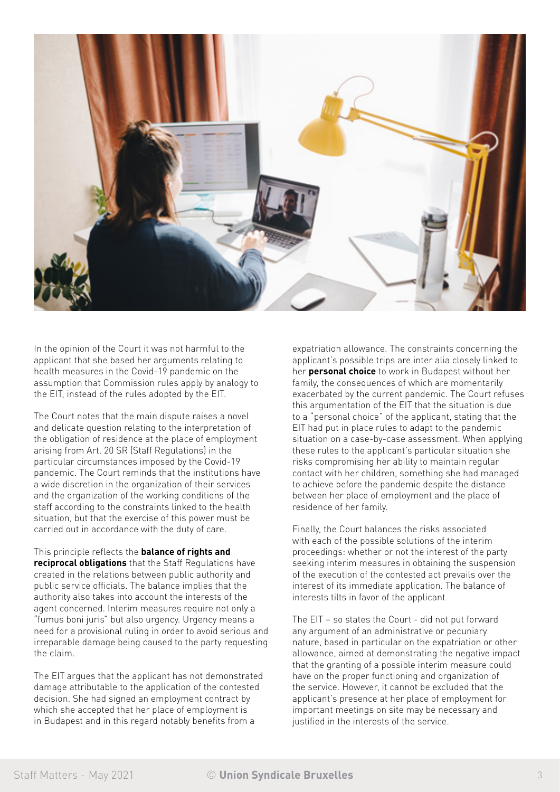

In the opinion of the Court it was not harmful to the applicant that she based her arguments relating to health measures in the Covid-19 pandemic on the assumption that Commission rules apply by analogy to the EIT, instead of the rules adopted by the EIT.

The Court notes that the main dispute raises a novel and delicate question relating to the interpretation of the obligation of residence at the place of employment arising from Art. 20 SR (Staff Regulations) in the particular circumstances imposed by the Covid-19 pandemic. The Court reminds that the institutions have a wide discretion in the organization of their services and the organization of the working conditions of the staff according to the constraints linked to the health situation, but that the exercise of this power must be carried out in accordance with the duty of care.

This principle reflects the **balance of rights and reciprocal obligations** that the Staff Regulations have created in the relations between public authority and public service officials. The balance implies that the authority also takes into account the interests of the agent concerned. Interim measures require not only a "fumus boni juris" but also urgency. Urgency means a need for a provisional ruling in order to avoid serious and irreparable damage being caused to the party requesting the claim.

The EIT argues that the applicant has not demonstrated damage attributable to the application of the contested decision. She had signed an employment contract by which she accepted that her place of employment is in Budapest and in this regard notably benefits from a

expatriation allowance. The constraints concerning the applicant's possible trips are inter alia closely linked to her **personal choice** to work in Budapest without her family, the consequences of which are momentarily exacerbated by the current pandemic. The Court refuses this argumentation of the EIT that the situation is due to a "personal choice" of the applicant, stating that the EIT had put in place rules to adapt to the pandemic situation on a case-by-case assessment. When applying these rules to the applicant's particular situation she risks compromising her ability to maintain regular contact with her children, something she had managed to achieve before the pandemic despite the distance between her place of employment and the place of residence of her family.

Finally, the Court balances the risks associated with each of the possible solutions of the interim proceedings: whether or not the interest of the party seeking interim measures in obtaining the suspension of the execution of the contested act prevails over the interest of its immediate application. The balance of interests tilts in favor of the applicant

The EIT – so states the Court - did not put forward any argument of an administrative or pecuniary nature, based in particular on the expatriation or other allowance, aimed at demonstrating the negative impact that the granting of a possible interim measure could have on the proper functioning and organization of the service. However, it cannot be excluded that the applicant's presence at her place of employment for important meetings on site may be necessary and justified in the interests of the service.